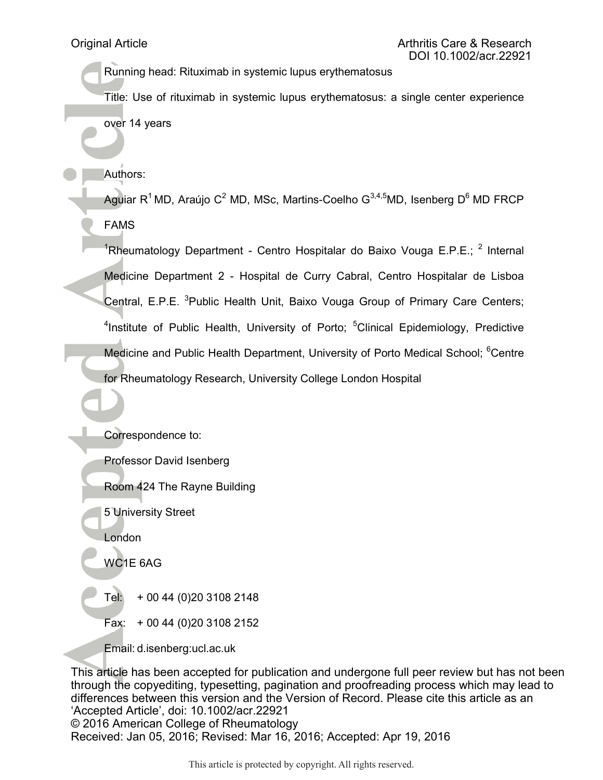Running head: Rituximab in systemic lupus erythematosus

Title: Use of rituximab in systemic lupus erythematosus: a single center experience over 14 years

Authors:

Aguiar R<sup>1</sup>MD, Araújo C<sup>2</sup> MD, MSc, Martins-Coelho G<sup>3,4,5</sup>MD, Isenberg D<sup>6</sup> MD FRCP FAMS

<sup>1</sup>Rheumatology Department - Centro Hospitalar do Baixo Vouga E.P.E.; <sup>2</sup> Internal Medicine Department 2 - Hospital de Curry Cabral, Centro Hospitalar de Lisboa Central, E.P.E. <sup>3</sup>Public Health Unit, Baixo Vouga Group of Primary Care Centers; <sup>4</sup>Institute of Public Health, University of Porto; <sup>5</sup>Clinical Epidemiology, Predictive Medicine and Public Health Department, University of Porto Medical School; <sup>6</sup>Centre for Rheumatology Research, University College London Hospital

Correspondence to:

Professor David Isenberg

Room 424 The Rayne Building

5 University Street

London

WC1E 6AG

Tel: + 00 44 (0)20 3108 2148

Fax: + 00 44 (0)20 3108 2152

Email: d.isenberg:ucl.ac.uk

This article has been accepted for publication and undergone full peer review but has not been through the copyediting, typesetting, pagination and proofreading process which may lead to differences between this version and the Version of Record. Please cite this article as an 'Accepted Article', doi: 10.1002/acr.22921 © 2016 American College of Rheumatology Received: Jan 05, 2016; Revised: Mar 16, 2016; Accepted: Apr 19, 2016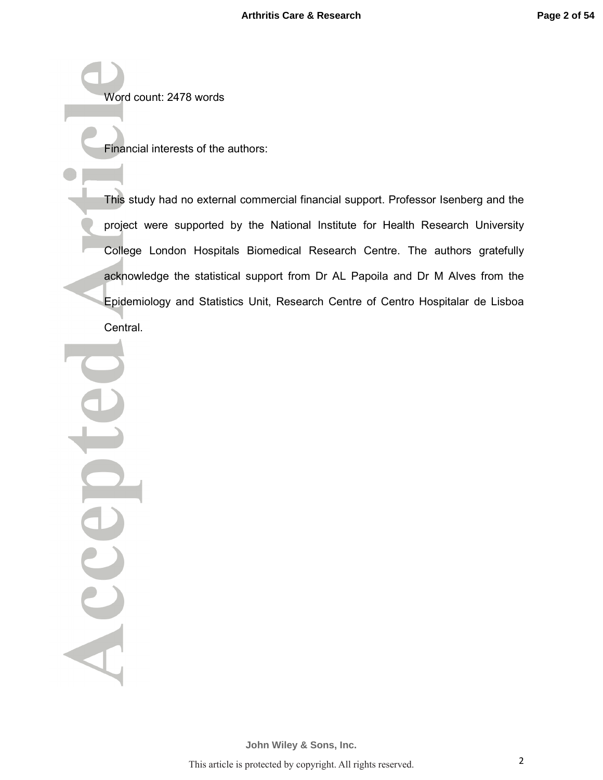Word count: 2478 words

Financial interests of the authors:

This study had no external commercial financial support. Professor Isenberg and the project were supported by the National Institute for Health Research University College London Hospitals Biomedical Research Centre. The authors gratefully acknowledge the statistical support from Dr AL Papoila and Dr M Alves from the Epidemiology and Statistics Unit, Research Centre of Centro Hospitalar de Lisboa Central.

Acce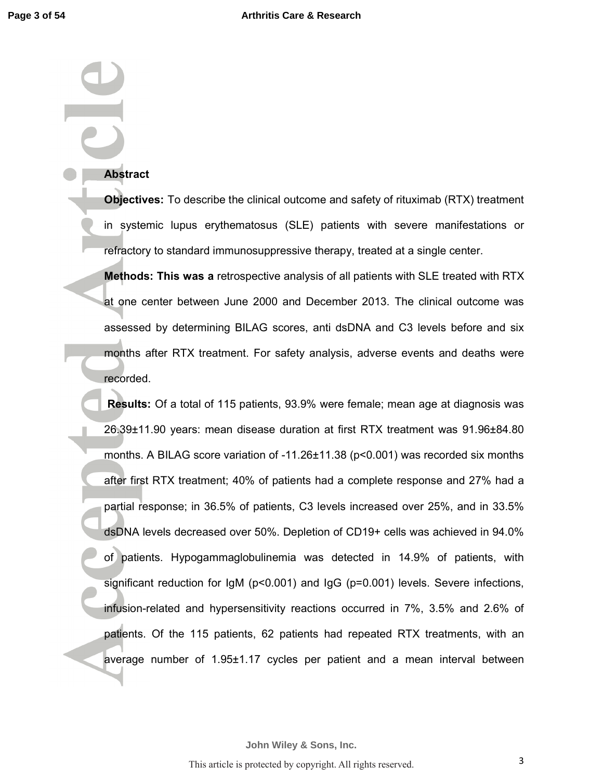### **Abstract**

**Objectives:** To describe the clinical outcome and safety of rituximab (RTX) treatment in systemic lupus erythematosus (SLE) patients with severe manifestations or refractory to standard immunosuppressive therapy, treated at a single center.

**Methods: This was a** retrospective analysis of all patients with SLE treated with RTX at one center between June 2000 and December 2013. The clinical outcome was assessed by determining BILAG scores, anti dsDNA and C3 levels before and six months after RTX treatment. For safety analysis, adverse events and deaths were recorded.

 **Results:** Of a total of 115 patients, 93.9% were female; mean age at diagnosis was 26.39±11.90 years: mean disease duration at first RTX treatment was 91.96±84.80 months. A BILAG score variation of -11.26±11.38 (p<0.001) was recorded six months after first RTX treatment; 40% of patients had a complete response and 27% had a partial response; in 36.5% of patients, C3 levels increased over 25%, and in 33.5% dsDNA levels decreased over 50%. Depletion of CD19+ cells was achieved in 94.0% of patients. Hypogammaglobulinemia was detected in 14.9% of patients, with significant reduction for  $\lg M$  (p<0.001) and  $\lg G$  (p=0.001) levels. Severe infections, infusion-related and hypersensitivity reactions occurred in 7%, 3.5% and 2.6% of patients. Of the 115 patients, 62 patients had repeated RTX treatments, with an average number of 1.95±1.17 cycles per patient and a mean interval between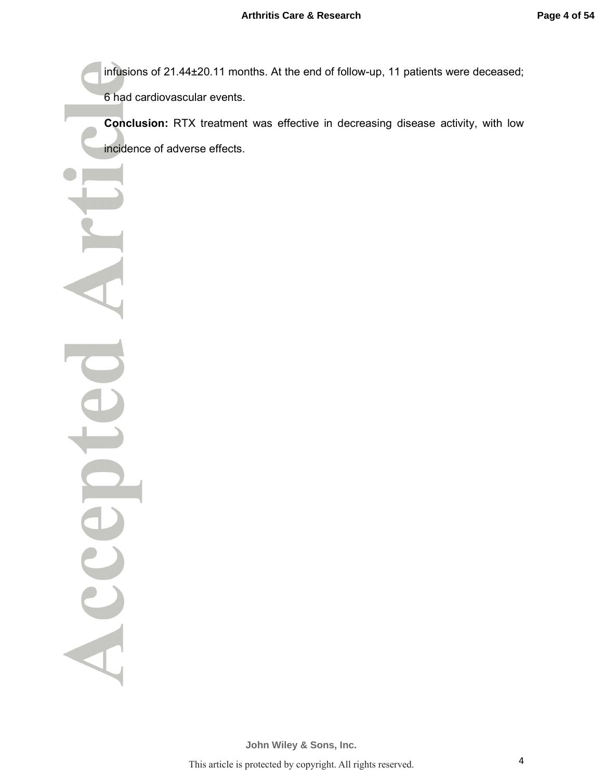infusions of 21.44±20.11 months. At the end of follow-up, 11 patients were deceased;

6 had cardiovascular events.

**Conclusion:** RTX treatment was effective in decreasing disease activity, with low incidence of adverse effects.

Acce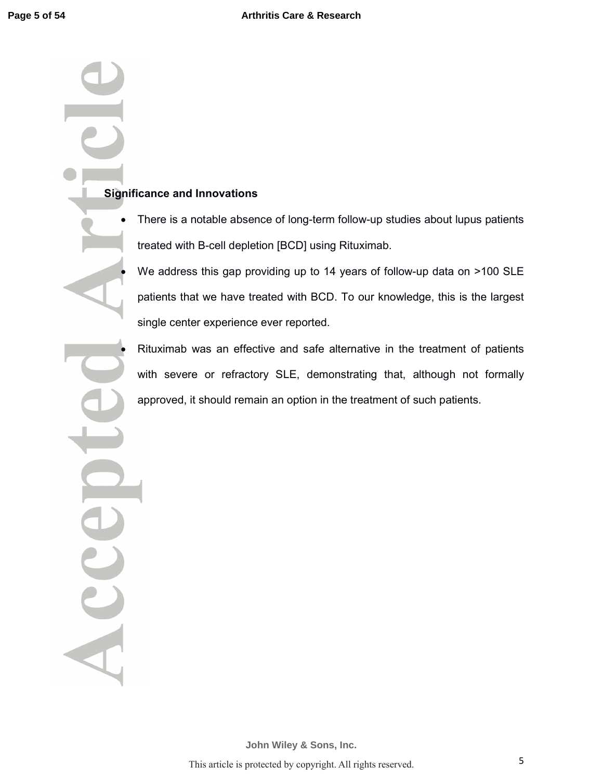# **Significance and Innovations**

Acce

• There is a notable absence of long-term follow-up studies about lupus patients treated with B-cell depletion [BCD] using Rituximab.

We address this gap providing up to 14 years of follow-up data on >100 SLE patients that we have treated with BCD. To our knowledge, this is the largest single center experience ever reported.

• Rituximab was an effective and safe alternative in the treatment of patients with severe or refractory SLE, demonstrating that, although not formally approved, it should remain an option in the treatment of such patients.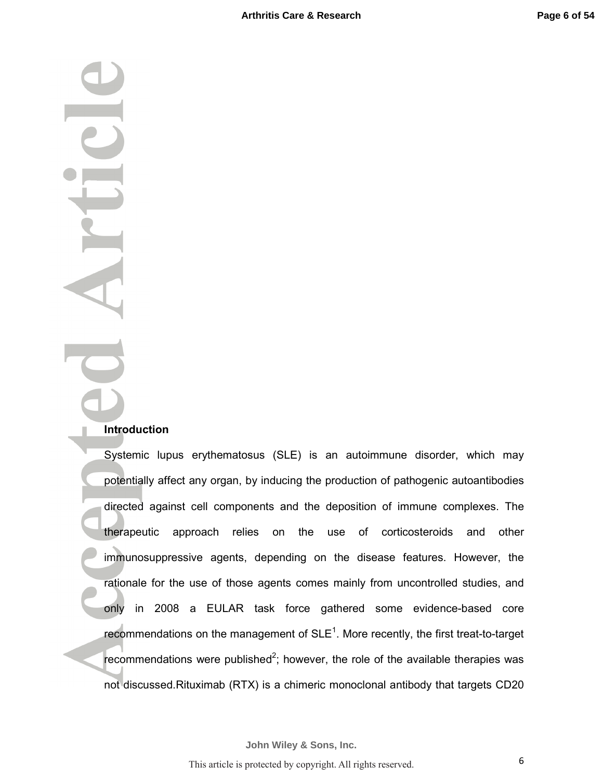## **Introduction**

Systemic lupus erythematosus (SLE) is an autoimmune disorder, which may potentially affect any organ, by inducing the production of pathogenic autoantibodies directed against cell components and the deposition of immune complexes. The therapeutic approach relies on the use of corticosteroids and other immunosuppressive agents, depending on the disease features. However, the rationale for the use of those agents comes mainly from uncontrolled studies, and only in 2008 a EULAR task force gathered some evidence-based core recommendations on the management of  $SLE<sup>1</sup>$ . More recently, the first treat-to-target recommendations were published<sup>2</sup>; however, the role of the available therapies was not discussed.Rituximab (RTX) is a chimeric monoclonal antibody that targets CD20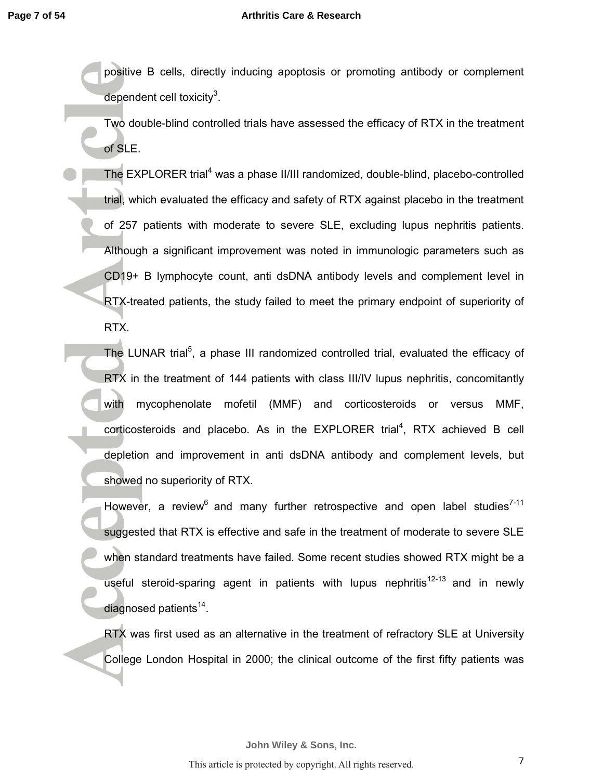### **Arthritis Care & Research**

positive B cells, directly inducing apoptosis or promoting antibody or complement dependent cell toxicity $3$ .

Two double-blind controlled trials have assessed the efficacy of RTX in the treatment of SLE.

The EXPLORER trial<sup>4</sup> was a phase II/III randomized, double-blind, placebo-controlled trial, which evaluated the efficacy and safety of RTX against placebo in the treatment of 257 patients with moderate to severe SLE, excluding lupus nephritis patients. Although a significant improvement was noted in immunologic parameters such as CD19+ B lymphocyte count, anti dsDNA antibody levels and complement level in RTX-treated patients, the study failed to meet the primary endpoint of superiority of RTX.

The LUNAR trial<sup>5</sup>, a phase III randomized controlled trial, evaluated the efficacy of RTX in the treatment of 144 patients with class III/IV lupus nephritis, concomitantly with mycophenolate mofetil (MMF) and corticosteroids or versus MMF, corticosteroids and placebo. As in the EXPLORER trial<sup>4</sup>, RTX achieved B cell depletion and improvement in anti dsDNA antibody and complement levels, but showed no superiority of RTX.

However, a review<sup>6</sup> and many further retrospective and open label studies<sup>7-11</sup> suggested that RTX is effective and safe in the treatment of moderate to severe SLE when standard treatments have failed. Some recent studies showed RTX might be a useful steroid-sparing agent in patients with lupus nephritis<sup>12-13</sup> and in newly diagnosed patients<sup>14</sup>.

RTX was first used as an alternative in the treatment of refractory SLE at University College London Hospital in 2000; the clinical outcome of the first fifty patients was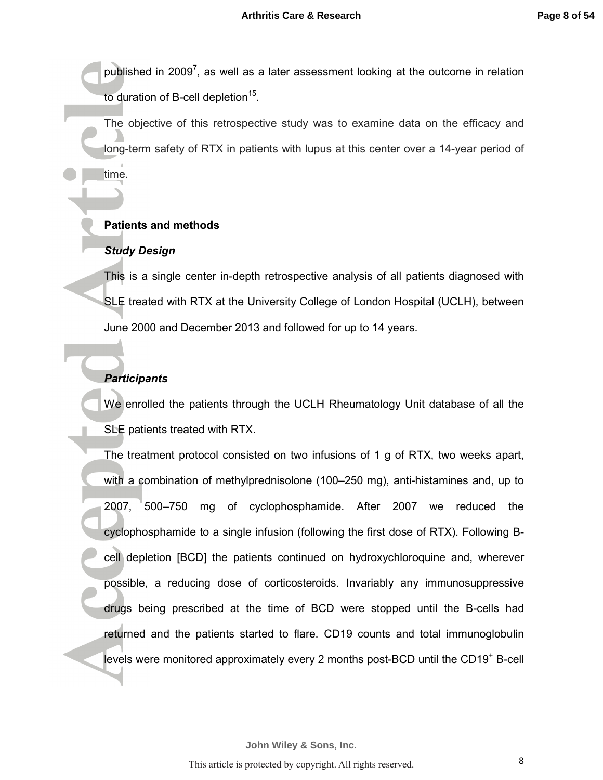published in 2009<sup>7</sup>, as well as a later assessment looking at the outcome in relation to duration of B-cell depletion<sup>15</sup>.

The objective of this retrospective study was to examine data on the efficacy and long-term safety of RTX in patients with lupus at this center over a 14-year period of time.

### **Patients and methods**

### *Study Design*

This is a single center in-depth retrospective analysis of all patients diagnosed with SLE treated with RTX at the University College of London Hospital (UCLH), between June 2000 and December 2013 and followed for up to 14 years.

# *Participants*

We enrolled the patients through the UCLH Rheumatology Unit database of all the SLE patients treated with RTX.

The treatment protocol consisted on two infusions of 1 g of RTX, two weeks apart, with a combination of methylprednisolone (100–250 mg), anti-histamines and, up to 2007, 500–750 mg of cyclophosphamide. After 2007 we reduced the cyclophosphamide to a single infusion (following the first dose of RTX). Following Bcell depletion [BCD] the patients continued on hydroxychloroquine and, wherever possible, a reducing dose of corticosteroids. Invariably any immunosuppressive drugs being prescribed at the time of BCD were stopped until the B-cells had returned and the patients started to flare. CD19 counts and total immunoglobulin levels were monitored approximately every 2 months post-BCD until the CD19<sup>+</sup> B-cell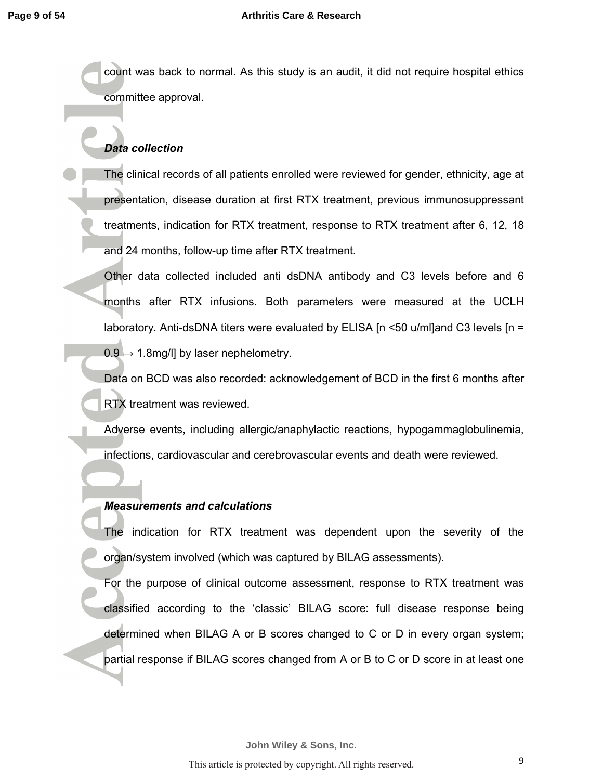count was back to normal. As this study is an audit, it did not require hospital ethics committee approval.

# *Data collection*

The clinical records of all patients enrolled were reviewed for gender, ethnicity, age at presentation, disease duration at first RTX treatment, previous immunosuppressant treatments, indication for RTX treatment, response to RTX treatment after 6, 12, 18 and 24 months, follow-up time after RTX treatment.

Other data collected included anti dsDNA antibody and C3 levels before and 6 months after RTX infusions. Both parameters were measured at the UCLH laboratory. Anti-dsDNA titers were evaluated by ELISA  $[n \le 50 \text{ u/m}]$  and C3 levels  $[n = 1]$  $0.9 \rightarrow 1.8$ mg/l] by laser nephelometry.

Data on BCD was also recorded: acknowledgement of BCD in the first 6 months after RTX treatment was reviewed.

Adverse events, including allergic/anaphylactic reactions, hypogammaglobulinemia, infections, cardiovascular and cerebrovascular events and death were reviewed.

# *Measurements and calculations*

The indication for RTX treatment was dependent upon the severity of the organ/system involved (which was captured by BILAG assessments).

For the purpose of clinical outcome assessment, response to RTX treatment was classified according to the 'classic' BILAG score: full disease response being determined when BILAG A or B scores changed to C or D in every organ system; partial response if BILAG scores changed from A or B to C or D score in at least one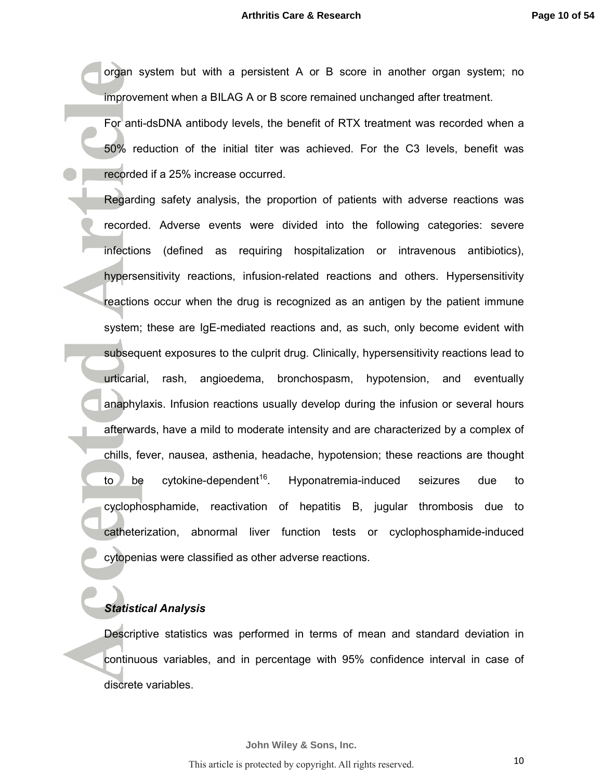organ system but with a persistent A or B score in another organ system; no improvement when a BILAG A or B score remained unchanged after treatment.

For anti-dsDNA antibody levels, the benefit of RTX treatment was recorded when a 50% reduction of the initial titer was achieved. For the C3 levels, benefit was recorded if a 25% increase occurred.

Regarding safety analysis, the proportion of patients with adverse reactions was recorded. Adverse events were divided into the following categories: severe infections (defined as requiring hospitalization or intravenous antibiotics), hypersensitivity reactions, infusion-related reactions and others. Hypersensitivity reactions occur when the drug is recognized as an antigen by the patient immune system; these are IgE-mediated reactions and, as such, only become evident with subsequent exposures to the culprit drug. Clinically, hypersensitivity reactions lead to urticarial, rash, angioedema, bronchospasm, hypotension, and eventually anaphylaxis. Infusion reactions usually develop during the infusion or several hours afterwards, have a mild to moderate intensity and are characterized by a complex of chills, fever, nausea, asthenia, headache, hypotension; these reactions are thought to be cytokine-dependent<sup>16</sup>. Hyponatremia-induced seizures due to cyclophosphamide, reactivation of hepatitis B, jugular thrombosis due to catheterization, abnormal liver function tests or cyclophosphamide-induced cytopenias were classified as other adverse reactions.

### *Statistical Analysis*

I

Descriptive statistics was performed in terms of mean and standard deviation in continuous variables, and in percentage with 95% confidence interval in case of discrete variables.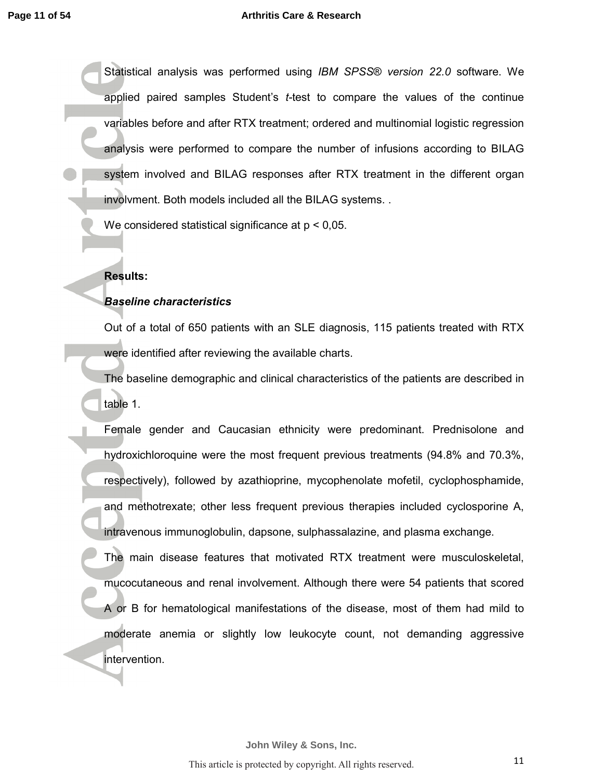#### **Arthritis Care & Research**

Statistical analysis was performed using *IBM SPSS*® *version 22.0* software. We applied paired samples Student's *t-*test to compare the values of the continue variables before and after RTX treatment; ordered and multinomial logistic regression analysis were performed to compare the number of infusions according to BILAG system involved and BILAG responses after RTX treatment in the different organ involvment. Both models included all the BILAG systems. .

We considered statistical significance at  $p < 0.05$ .

# **Results:**

# *Baseline characteristics*

Out of a total of 650 patients with an SLE diagnosis, 115 patients treated with RTX were identified after reviewing the available charts.

The baseline demographic and clinical characteristics of the patients are described in table 1.

Female gender and Caucasian ethnicity were predominant. Prednisolone and hydroxichloroquine were the most frequent previous treatments (94.8% and 70.3%, respectively), followed by azathioprine, mycophenolate mofetil, cyclophosphamide, and methotrexate; other less frequent previous therapies included cyclosporine A, intravenous immunoglobulin, dapsone, sulphassalazine, and plasma exchange.

The main disease features that motivated RTX treatment were musculoskeletal, mucocutaneous and renal involvement. Although there were 54 patients that scored A or B for hematological manifestations of the disease, most of them had mild to moderate anemia or slightly low leukocyte count, not demanding aggressive intervention.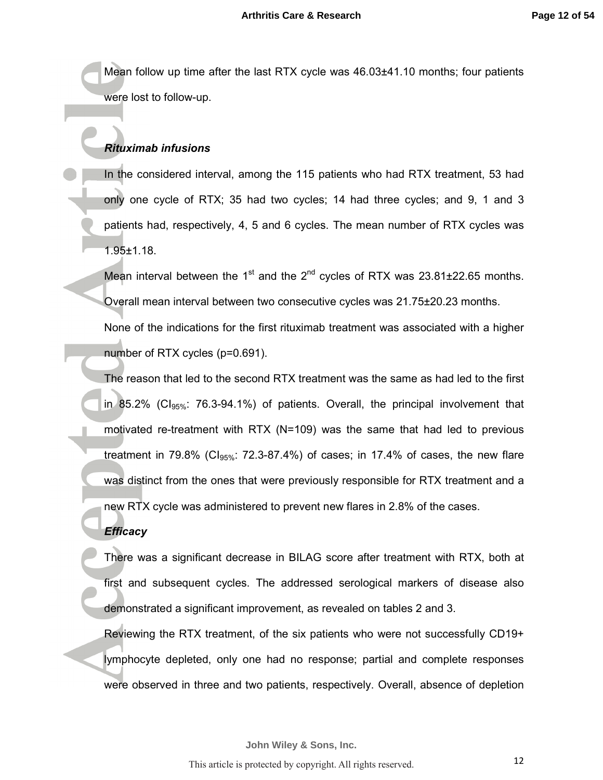Mean follow up time after the last RTX cycle was 46.03±41.10 months; four patients were lost to follow-up.

## *Rituximab infusions*

In the considered interval, among the 115 patients who had RTX treatment, 53 had only one cycle of RTX; 35 had two cycles; 14 had three cycles; and 9, 1 and 3 patients had, respectively, 4, 5 and 6 cycles. The mean number of RTX cycles was 1.95±1.18.

Mean interval between the 1<sup>st</sup> and the 2<sup>nd</sup> cycles of RTX was 23.81 $\pm$ 22.65 months. Overall mean interval between two consecutive cycles was 21.75±20.23 months.

None of the indications for the first rituximab treatment was associated with a higher number of RTX cycles (p=0.691).

The reason that led to the second RTX treatment was the same as had led to the first in 85.2% (Cl<sub>95%</sub>: 76.3-94.1%) of patients. Overall, the principal involvement that motivated re-treatment with RTX (N=109) was the same that had led to previous treatment in 79.8% (C $I_{95\%}$ : 72.3-87.4%) of cases; in 17.4% of cases, the new flare was distinct from the ones that were previously responsible for RTX treatment and a new RTX cycle was administered to prevent new flares in 2.8% of the cases.

### *Efficacy*

There was a significant decrease in BILAG score after treatment with RTX, both at first and subsequent cycles. The addressed serological markers of disease also demonstrated a significant improvement, as revealed on tables 2 and 3.

Reviewing the RTX treatment, of the six patients who were not successfully CD19+ lymphocyte depleted, only one had no response; partial and complete responses were observed in three and two patients, respectively. Overall, absence of depletion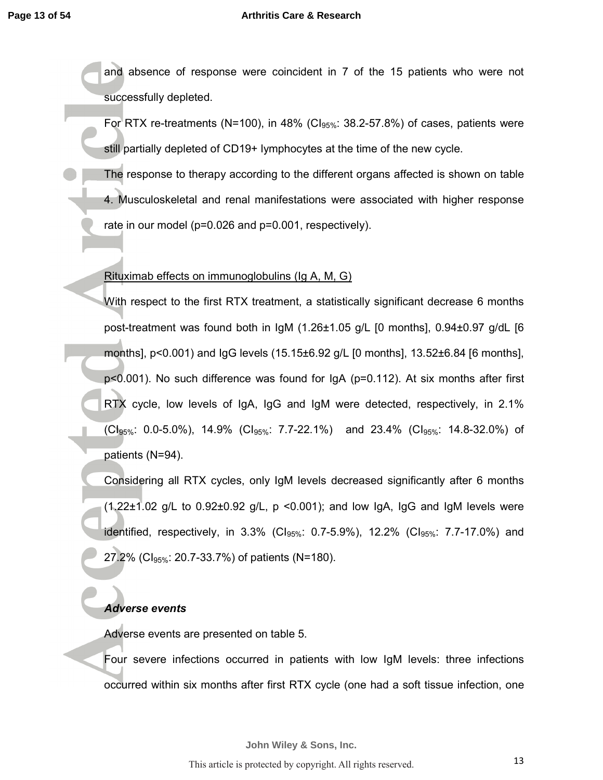and absence of response were coincident in 7 of the 15 patients who were not successfully depleted.

For RTX re-treatments (N=100), in 48% (Cl $_{95\%}$ : 38.2-57.8%) of cases, patients were still partially depleted of CD19+ lymphocytes at the time of the new cycle.

The response to therapy according to the different organs affected is shown on table 4. Musculoskeletal and renal manifestations were associated with higher response rate in our model (p=0.026 and p=0.001, respectively).

Rituximab effects on immunoglobulins (Ig A, M, G)

With respect to the first RTX treatment, a statistically significant decrease 6 months post-treatment was found both in IgM (1.26±1.05 g/L [0 months], 0.94±0.97 g/dL [6 months], p<0.001) and IgG levels (15.15±6.92 g/L [0 months], 13.52±6.84 [6 months], p<0.001). No such difference was found for IgA (p=0.112). At six months after first RTX cycle, low levels of IgA, IgG and IgM were detected, respectively, in 2.1%  $(Cl_{95\%}: 0.0-5.0\%)$ , 14.9%  $(Cl_{95\%}: 7.7-22.1\%)$  and 23.4%  $(Cl_{95\%}: 14.8-32.0\%)$  of patients (N=94).

Considering all RTX cycles, only IgM levels decreased significantly after 6 months  $(1.22\pm1.02$  g/L to 0.92 $\pm$ 0.92 g/L, p <0.001); and low IgA, IgG and IgM levels were identified, respectively, in  $3.3\%$  (Cl<sub>95%</sub>: 0.7-5.9%), 12.2% (Cl<sub>95%</sub>: 7.7-17.0%) and 27.2% (C $I_{95\%}$ : 20.7-33.7%) of patients (N=180).

# *Adverse events*

Adverse events are presented on table 5.

Four severe infections occurred in patients with low IgM levels: three infections occurred within six months after first RTX cycle (one had a soft tissue infection, one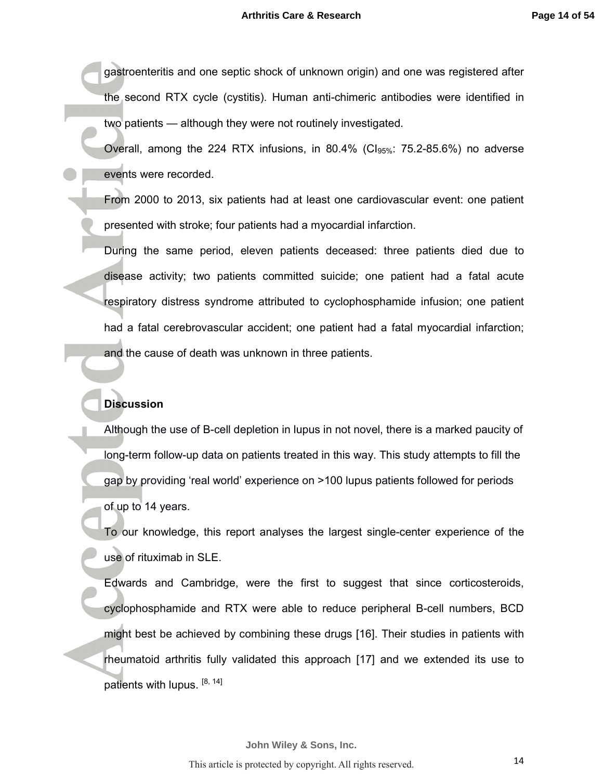gastroenteritis and one septic shock of unknown origin) and one was registered after the second RTX cycle (cystitis). Human anti-chimeric antibodies were identified in two patients — although they were not routinely investigated.

Overall, among the 224 RTX infusions, in 80.4% (Cl<sub>95%</sub>: 75.2-85.6%) no adverse events were recorded.

From 2000 to 2013, six patients had at least one cardiovascular event: one patient presented with stroke; four patients had a myocardial infarction.

During the same period, eleven patients deceased: three patients died due to disease activity; two patients committed suicide; one patient had a fatal acute respiratory distress syndrome attributed to cyclophosphamide infusion; one patient had a fatal cerebrovascular accident; one patient had a fatal myocardial infarction; and the cause of death was unknown in three patients.

### **Discussion**

Although the use of B-cell depletion in lupus in not novel, there is a marked paucity of long-term follow-up data on patients treated in this way. This study attempts to fill the gap by providing 'real world' experience on >100 lupus patients followed for periods of up to 14 years.

To our knowledge, this report analyses the largest single-center experience of the use of rituximab in SLE.

Edwards and Cambridge, were the first to suggest that since corticosteroids, cyclophosphamide and RTX were able to reduce peripheral B-cell numbers, BCD might best be achieved by combining these drugs [16]. Their studies in patients with rheumatoid arthritis fully validated this approach [17] and we extended its use to patients with lupus.  $[8, 14]$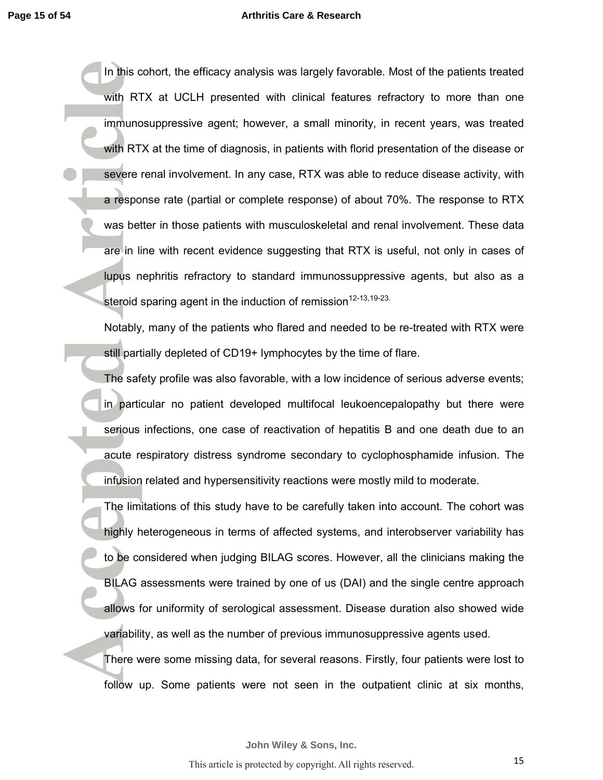### **Arthritis Care & Research**

In this cohort, the efficacy analysis was largely favorable. Most of the patients treated with RTX at UCLH presented with clinical features refractory to more than one immunosuppressive agent; however, a small minority, in recent years, was treated with RTX at the time of diagnosis, in patients with florid presentation of the disease or severe renal involvement. In any case, RTX was able to reduce disease activity, with a response rate (partial or complete response) of about 70%. The response to RTX was better in those patients with musculoskeletal and renal involvement. These data are in line with recent evidence suggesting that RTX is useful, not only in cases of lupus nephritis refractory to standard immunossuppressive agents, but also as a steroid sparing agent in the induction of remission  $12-13,19-23$ .

Notably, many of the patients who flared and needed to be re-treated with RTX were still partially depleted of CD19+ lymphocytes by the time of flare.

The safety profile was also favorable, with a low incidence of serious adverse events; in particular no patient developed multifocal leukoencepalopathy but there were serious infections, one case of reactivation of hepatitis B and one death due to an acute respiratory distress syndrome secondary to cyclophosphamide infusion. The infusion related and hypersensitivity reactions were mostly mild to moderate.

The limitations of this study have to be carefully taken into account. The cohort was highly heterogeneous in terms of affected systems, and interobserver variability has to be considered when judging BILAG scores. However, all the clinicians making the BILAG assessments were trained by one of us (DAI) and the single centre approach allows for uniformity of serological assessment. Disease duration also showed wide variability, as well as the number of previous immunosuppressive agents used.

There were some missing data, for several reasons. Firstly, four patients were lost to follow up. Some patients were not seen in the outpatient clinic at six months,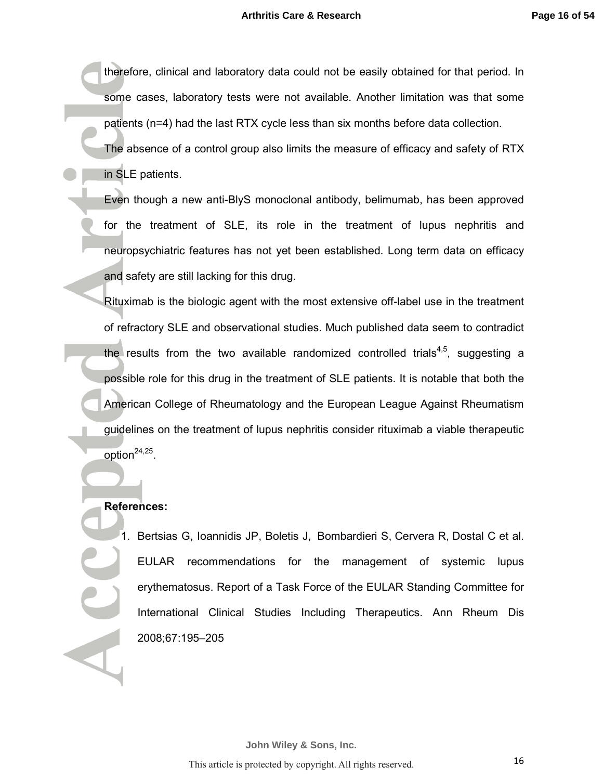therefore, clinical and laboratory data could not be easily obtained for that period. In some cases, laboratory tests were not available. Another limitation was that some patients (n=4) had the last RTX cycle less than six months before data collection.

The absence of a control group also limits the measure of efficacy and safety of RTX in SLE patients.

Even though a new anti-BlyS monoclonal antibody, belimumab, has been approved for the treatment of SLE, its role in the treatment of lupus nephritis and neuropsychiatric features has not yet been established. Long term data on efficacy and safety are still lacking for this drug.

Rituximab is the biologic agent with the most extensive off-label use in the treatment of refractory SLE and observational studies. Much published data seem to contradict the results from the two available randomized controlled trials<sup>4,5</sup>, suggesting a possible role for this drug in the treatment of SLE patients. It is notable that both the American College of Rheumatology and the European League Against Rheumatism guidelines on the treatment of lupus nephritis consider rituximab a viable therapeutic option $^{24,25}$ .

### **References:**

1. Bertsias G, Ioannidis JP, Boletis J, Bombardieri S, Cervera R, Dostal C et al. EULAR recommendations for the management of systemic lupus erythematosus. Report of a Task Force of the EULAR Standing Committee for International Clinical Studies Including Therapeutics. Ann Rheum Dis 2008;67:195–205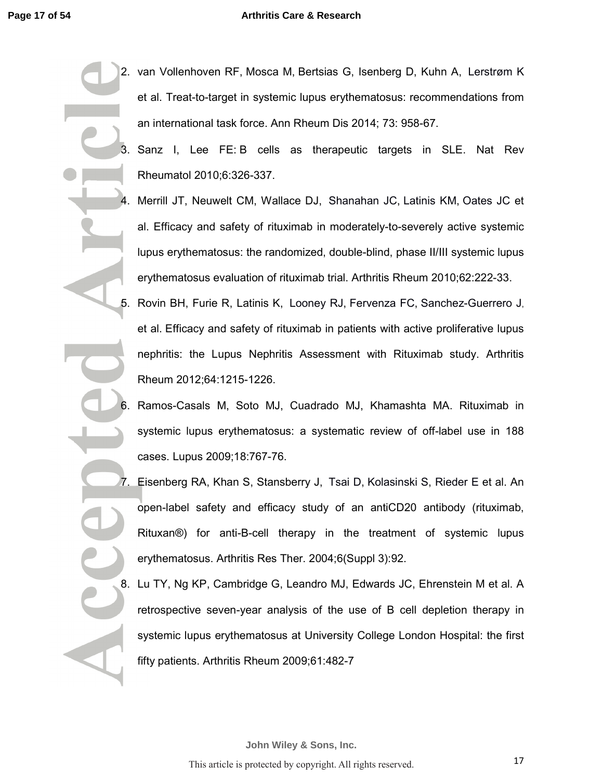- 2. van Vollenhoven RF, Mosca M, Bertsias G, Isenberg D, Kuhn A, Lerstrøm K et al. Treat-to-target in systemic lupus erythematosus: recommendations from an international task force. Ann Rheum Dis 2014; 73: 958-67.
- 3. Sanz I, Lee FE: B cells as therapeutic targets in SLE. Nat Rev Rheumatol 2010;6:326-337.
- 4. Merrill JT, Neuwelt CM, Wallace DJ, Shanahan JC, Latinis KM, Oates JC et al. Efficacy and safety of rituximab in moderately-to-severely active systemic lupus erythematosus: the randomized, double-blind, phase II/III systemic lupus erythematosus evaluation of rituximab trial. Arthritis Rheum 2010;62:222-33.
- 5. Rovin BH, Furie R, Latinis K, Looney RJ, Fervenza FC, Sanchez-Guerrero J, et al. Efficacy and safety of rituximab in patients with active proliferative lupus nephritis: the Lupus Nephritis Assessment with Rituximab study. Arthritis Rheum 2012;64:1215-1226.
- 6. Ramos-Casals M, Soto MJ, Cuadrado MJ, Khamashta MA. Rituximab in systemic lupus erythematosus: a systematic review of off-label use in 188 cases. Lupus 2009;18:767-76.
- 7. Eisenberg RA, Khan S, Stansberry J, Tsai D, Kolasinski S, Rieder E et al. An open-label safety and efficacy study of an antiCD20 antibody (rituximab, Rituxan®) for anti-B-cell therapy in the treatment of systemic lupus erythematosus. Arthritis Res Ther. 2004;6(Suppl 3):92.

8. Lu TY, Ng KP, Cambridge G, Leandro MJ, Edwards JC, Ehrenstein M et al. A retrospective seven-year analysis of the use of B cell depletion therapy in systemic lupus erythematosus at University College London Hospital: the first fifty patients. Arthritis Rheum 2009;61:482-7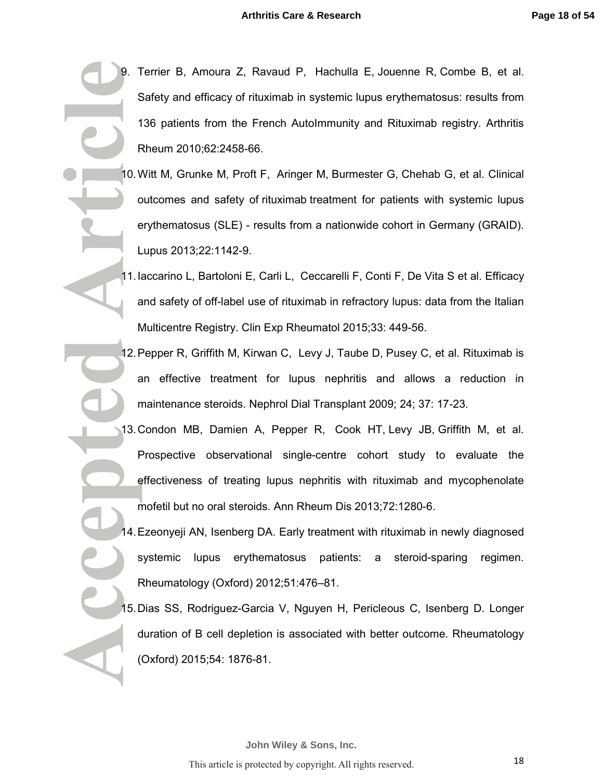- 9. Terrier B, Amoura Z, Ravaud P, Hachulla E, Jouenne R, Combe B, et al. Safety and efficacy of rituximab in systemic lupus erythematosus: results from 136 patients from the French AutoImmunity and Rituximab registry. Arthritis Rheum 2010;62:2458-66.
- 10. Witt M, Grunke M, Proft F, Aringer M, Burmester G, Chehab G, et al. Clinical outcomes and safety of rituximab treatment for patients with systemic lupus erythematosus (SLE) - results from a nationwide cohort in Germany (GRAID). Lupus 2013;22:1142-9.
	- 11. Iaccarino L, Bartoloni E, Carli L, Ceccarelli F, Conti F, De Vita S et al. Efficacy and safety of off-label use of rituximab in refractory lupus: data from the Italian Multicentre Registry. Clin Exp Rheumatol 2015;33: 449-56.
	- 12. Pepper R, Griffith M, Kirwan C, Levy J, Taube D, Pusey C, et al. Rituximab is an effective treatment for lupus nephritis and allows a reduction in maintenance steroids. Nephrol Dial Transplant 2009; 24; 37: 17-23.
- 13. Condon MB, Damien A, Pepper R, Cook HT, Levy JB, Griffith M, et al. Prospective observational single-centre cohort study to evaluate the effectiveness of treating lupus nephritis with rituximab and mycophenolate mofetil but no oral steroids. Ann Rheum Dis 2013;72:1280-6.
	- 14. Ezeonyeji AN, Isenberg DA. Early treatment with rituximab in newly diagnosed systemic lupus erythematosus patients: a steroid-sparing regimen. Rheumatology (Oxford) 2012;51:476–81.
	- 15. Dias SS, Rodriguez-Garcia V, Nguyen H, Pericleous C, Isenberg D. Longer duration of B cell depletion is associated with better outcome. Rheumatology (Oxford) 2015;54: 1876-81.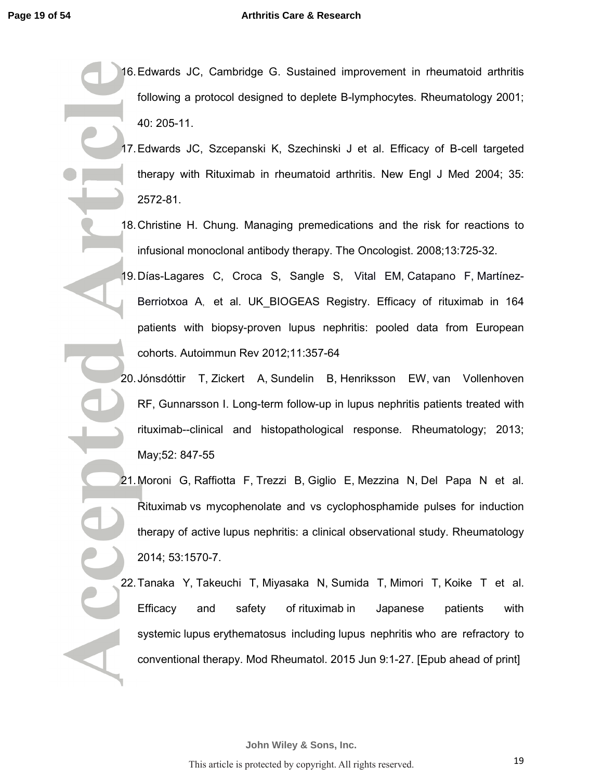### **Arthritis Care & Research**

- 16. Edwards JC, Cambridge G. Sustained improvement in rheumatoid arthritis following a protocol designed to deplete B-lymphocytes. Rheumatology 2001; 40: 205-11.
- 17. Edwards JC, Szcepanski K, Szechinski J et al. Efficacy of B-cell targeted therapy with Rituximab in rheumatoid arthritis. New Engl J Med 2004; 35: 2572-81.
- 18. Christine H. Chung. Managing premedications and the risk for reactions to infusional monoclonal antibody therapy. The Oncologist. 2008;13:725-32.
	- 19. Días-Lagares C, Croca S, Sangle S, Vital EM, Catapano F, Martínez-Berriotxoa A, et al. UK\_BIOGEAS Registry. Efficacy of rituximab in 164 patients with biopsy-proven lupus nephritis: pooled data from European cohorts. Autoimmun Rev 2012;11:357-64
- 20. Jónsdóttir T, Zickert A, Sundelin B, Henriksson EW, van Vollenhoven RF, Gunnarsson I. Long-term follow-up in lupus nephritis patients treated with rituximab--clinical and histopathological response. Rheumatology; 2013; May;52: 847-55
- 21. Moroni G, Raffiotta F, Trezzi B, Giglio E, Mezzina N, Del Papa N et al. Rituximab vs mycophenolate and vs cyclophosphamide pulses for induction therapy of active lupus nephritis: a clinical observational study. Rheumatology 2014; 53:1570-7.
- 22. Tanaka Y, Takeuchi T, Miyasaka N, Sumida T, Mimori T, Koike T et al. Efficacy and safety of rituximab in Japanese patients with systemic lupus erythematosus including lupus nephritis who are refractory to conventional therapy. Mod Rheumatol. 2015 Jun 9:1-27. [Epub ahead of print]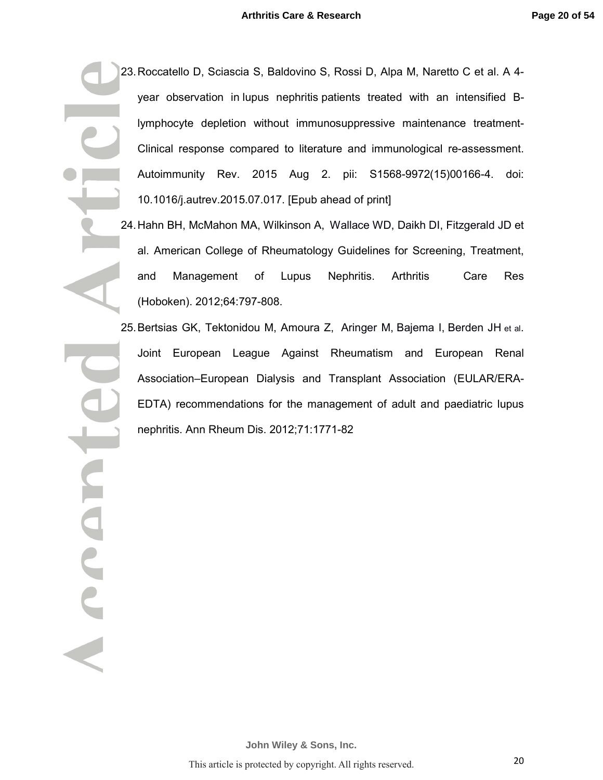- 23. Roccatello D, Sciascia S, Baldovino S, Rossi D, Alpa M, Naretto C et al. A 4 year observation in lupus nephritis patients treated with an intensified Blymphocyte depletion without immunosuppressive maintenance treatment-Clinical response compared to literature and immunological re-assessment. Autoimmunity Rev. 2015 Aug 2. pii: S1568-9972(15)00166-4. doi: 10.1016/j.autrev.2015.07.017. [Epub ahead of print]
	- 24. Hahn BH, McMahon MA, Wilkinson A, Wallace WD, Daikh DI, Fitzgerald JD et al. American College of Rheumatology Guidelines for Screening, Treatment, and Management of Lupus Nephritis. Arthritis Care Res (Hoboken). 2012;64:797-808.
	- 25. Bertsias GK, Tektonidou M, Amoura Z, Aringer M, Bajema I, Berden JH et al. Joint European League Against Rheumatism and European Renal Association–European Dialysis and Transplant Association (EULAR/ERA-EDTA) recommendations for the management of adult and paediatric lupus nephritis. Ann Rheum Dis. 2012;71:1771-82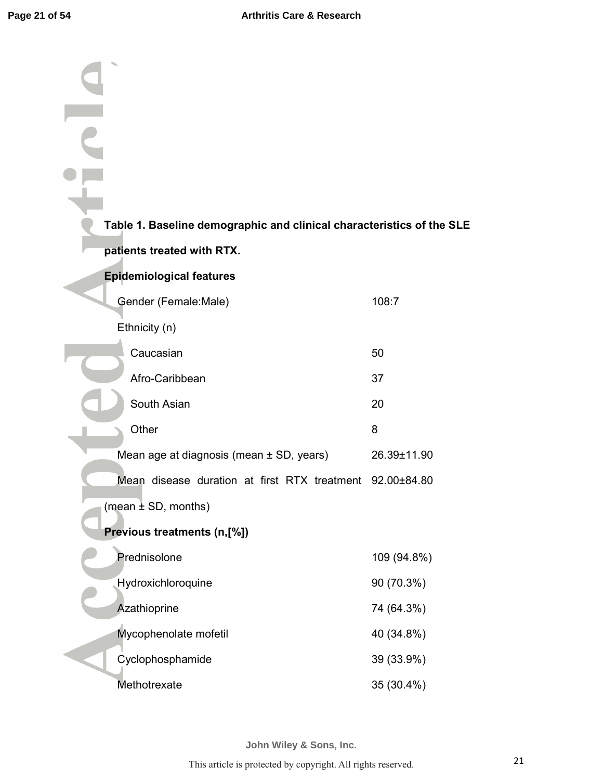| Table 1. Baseline demographic and clinical characteristics of the SLE |             |
|-----------------------------------------------------------------------|-------------|
| patients treated with RTX.                                            |             |
| <b>Epidemiological features</b>                                       |             |
| Gender (Female:Male)                                                  | 108:7       |
| Ethnicity (n)                                                         |             |
| Caucasian                                                             | 50          |
| Afro-Caribbean                                                        | 37          |
| South Asian                                                           | 20          |
| Other                                                                 | 8           |
| Mean age at diagnosis (mean ± SD, years)                              | 26.39±11.90 |
| Mean disease duration at first RTX treatment 92.00±84.80              |             |
| (mean $\pm$ SD, months)                                               |             |
| Previous treatments (n,[%])                                           |             |
| Prednisolone                                                          | 109 (94.8%) |
| Hydroxichloroquine                                                    | 90 (70.3%)  |
| Azathioprine                                                          | 74 (64.3%)  |
| Mycophenolate mofetil                                                 | 40 (34.8%)  |
| Cyclophosphamide                                                      | 39 (33.9%)  |
| Methotrexate                                                          | 35 (30.4%)  |

**John Wiley & Sons, Inc.**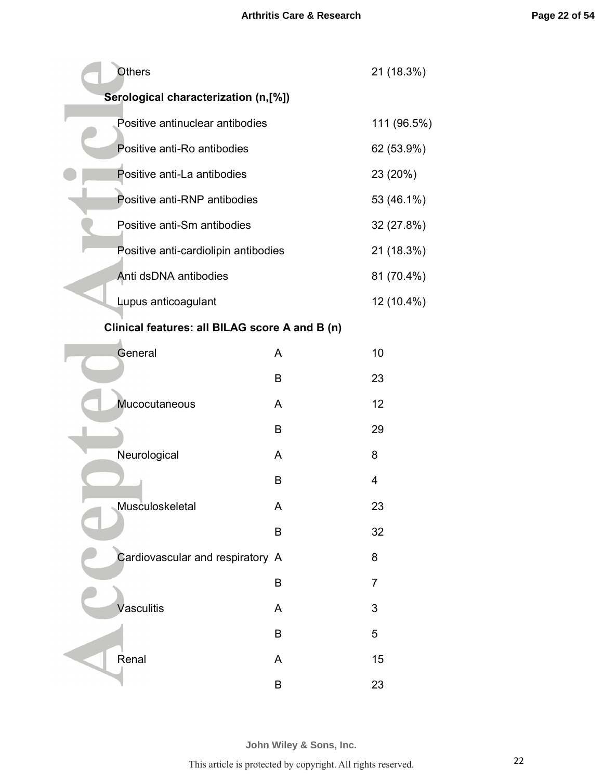| <b>Others</b>                                  | 21 (18.3%) |                |  |  |
|------------------------------------------------|------------|----------------|--|--|
| Serological characterization (n,[%])           |            |                |  |  |
| Positive antinuclear antibodies                |            | 111 (96.5%)    |  |  |
| Positive anti-Ro antibodies                    |            | 62 (53.9%)     |  |  |
| Positive anti-La antibodies                    |            | 23 (20%)       |  |  |
| Positive anti-RNP antibodies                   |            | 53 (46.1%)     |  |  |
| Positive anti-Sm antibodies                    |            | 32 (27.8%)     |  |  |
| Positive anti-cardiolipin antibodies           |            | 21 (18.3%)     |  |  |
| Anti dsDNA antibodies                          |            | 81 (70.4%)     |  |  |
| Lupus anticoagulant                            |            | 12 (10.4%)     |  |  |
| Clinical features: all BILAG score A and B (n) |            |                |  |  |
| General                                        | A          | 10             |  |  |
|                                                | B          | 23             |  |  |
| Mucocutaneous                                  | A          | 12             |  |  |
|                                                | B          | 29             |  |  |
| Neurological                                   | A          | 8              |  |  |
|                                                | B          | $\overline{4}$ |  |  |
| Musculoskeletal                                | А          | 23             |  |  |
|                                                | B          | 32             |  |  |
| Cardiovascular and respiratory A               |            | 8              |  |  |
|                                                | B          | $\overline{7}$ |  |  |
| Vasculitis                                     | A          | 3              |  |  |
|                                                | B          | 5              |  |  |
| Renal                                          | A          | 15             |  |  |
|                                                | B          | 23             |  |  |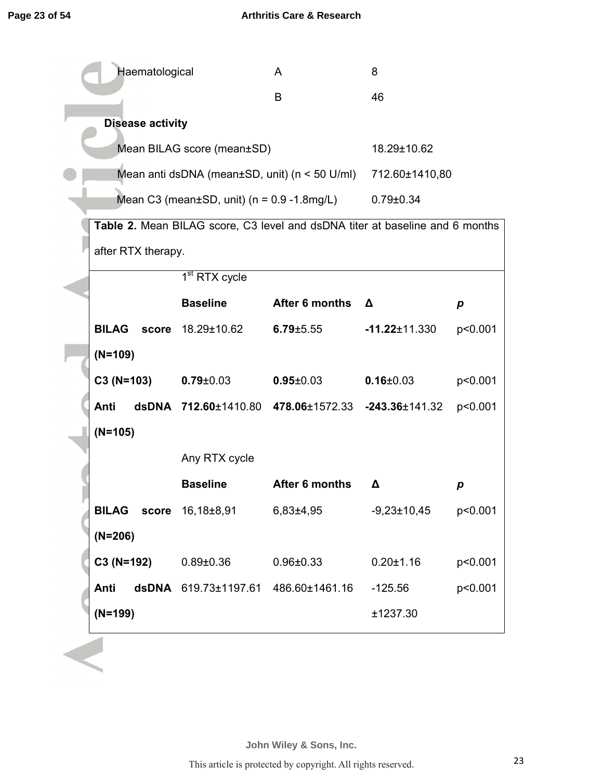| Haematological                 |                                                     | A                                                                            | 8                   |         |
|--------------------------------|-----------------------------------------------------|------------------------------------------------------------------------------|---------------------|---------|
|                                |                                                     | B                                                                            | 46                  |         |
| <b>Disease activity</b>        |                                                     |                                                                              |                     |         |
| Mean BILAG score (mean±SD)     | 18.29±10.62                                         |                                                                              |                     |         |
|                                | Mean anti dsDNA (mean $\pm$ SD, unit) (n < 50 U/ml) | 712.60±1410,80                                                               |                     |         |
|                                | Mean C3 (mean $\pm$ SD, unit) (n = 0.9 -1.8mg/L)    | $0.79 \pm 0.34$                                                              |                     |         |
|                                |                                                     | Table 2. Mean BILAG score, C3 level and dsDNA titer at baseline and 6 months |                     |         |
| after RTX therapy.             |                                                     |                                                                              |                     |         |
|                                | 1 <sup>st</sup> RTX cycle                           |                                                                              |                     |         |
|                                | <b>Baseline</b>                                     | After 6 months                                                               | Δ                   | p       |
| <b>BILAG</b> score 18.29±10.62 |                                                     | $6.79 \pm 5.55$                                                              | $-11.22 \pm 11.330$ | p<0.001 |
| $(N=109)$                      |                                                     |                                                                              |                     |         |
| $C3(N=103)$                    | $0.79 \pm 0.03$                                     | $0.95 \pm 0.03$                                                              | $0.16 \pm 0.03$     | p<0.001 |
| Anti                           |                                                     | dsDNA 712.60±1410.80 478.06±1572.33 -243.36±141.32                           |                     | p<0.001 |
| $(N=105)$                      |                                                     |                                                                              |                     |         |
| Any RTX cycle                  |                                                     |                                                                              |                     |         |
|                                | <b>Baseline</b>                                     | After 6 months                                                               | Δ                   | p       |
| <b>BILAG</b><br>score          | 16,18±8,91                                          | $6,83{\pm}4,95$                                                              | $-9,23 \pm 10,45$   | p<0.001 |
| $(N=206)$                      |                                                     |                                                                              |                     |         |
| C3 (N=192)                     | $0.89 \pm 0.36$                                     | $0.96 \pm 0.33$                                                              | $0.20 \pm 1.16$     | p<0.001 |
| Anti                           | dsDNA 619.73±1197.61                                | 486.60±1461.16                                                               | $-125.56$           | p<0.001 |
| $(N=199)$                      |                                                     |                                                                              | ±1237.30            |         |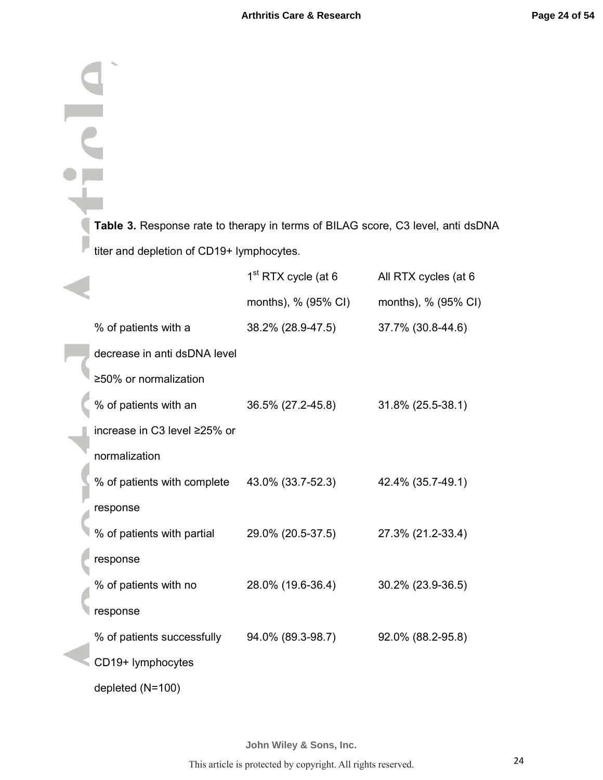**Table 3.** Response rate to therapy in terms of BILAG score, C3 level, anti dsDNA titer and depletion of CD19+ lymphocytes. 1<sup>st</sup> RTX cycle (at 6 All RTX cycles (at 6 months), % (95% CI) months), % (95% CI) % of patients with a 38.2% (28.9-47.5) 37.7% (30.8-44.6) decrease in anti dsDNA level ≥50% or normalization % of patients with an 36.5% (27.2-45.8) 31.8% (25.5-38.1) increase in C3 level ≥25% or normalization % of patients with complete 43.0% (33.7-52.3) 42.4% (35.7-49.1) response % of patients with partial 29.0% (20.5-37.5) 27.3% (21.2-33.4) response % of patients with no 28.0% (19.6-36.4) 30.2% (23.9-36.5) response % of patients successfully 94.0% (89.3-98.7) 92.0% (88.2-95.8) CD19+ lymphocytes

depleted (N=100)

**John Wiley & Sons, Inc.**

This article is protected by copyright. All rights reserved.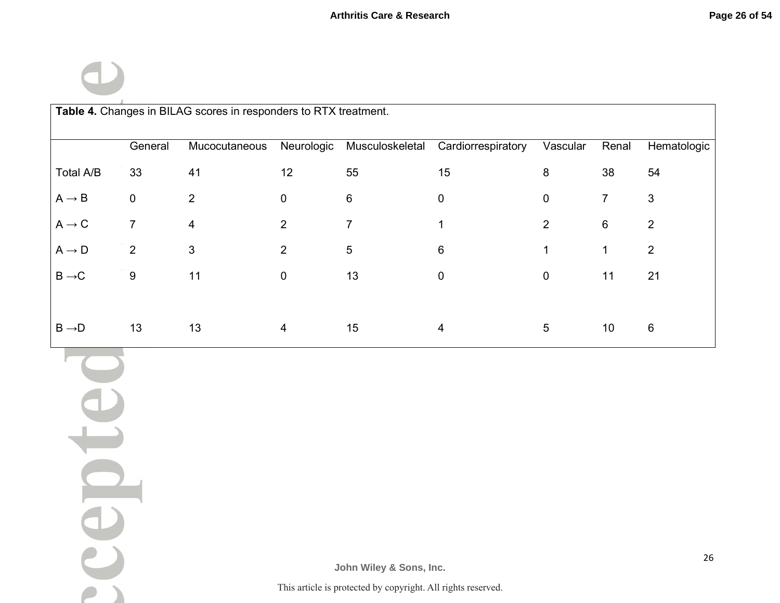$\bigcirc$ 

 $\overline{\phantom{a}}$ 

| Table 4. Changes in BILAG scores in responders to RTX treatment. |                  |                         |                |                                                                                         |                    |                |                |                |
|------------------------------------------------------------------|------------------|-------------------------|----------------|-----------------------------------------------------------------------------------------|--------------------|----------------|----------------|----------------|
|                                                                  | General          | Mucocutaneous           |                | Neurologic Musculoskeletal                                                              | Cardiorrespiratory | Vascular       | Renal          | Hematologic    |
| Total A/B                                                        | $33\,$           | 41                      | 12             | 55                                                                                      | 15                 | $\bf 8$        | 38             | 54             |
| $\mathsf{A}\to\mathsf{B}$                                        | $\pmb{0}$        | $\overline{2}$          | 0              | $\,6\,$                                                                                 | $\pmb{0}$          | $\pmb{0}$      | $\overline{7}$ | $\mathfrak{S}$ |
| $\mathsf{A}\to\mathsf{C}$                                        | $\overline{7}$   | $\overline{\mathbf{4}}$ | $\overline{2}$ | $\overline{7}$                                                                          | $\mathbf 1$        | $\overline{2}$ | $\,6\,$        | $\overline{2}$ |
| $\mathsf{A}\to\mathsf{D}$                                        | $\overline{2}$   | $\mathfrak{S}$          | $\mathbf{2}$   | $\sqrt{5}$                                                                              | $\,6\,$            | $\mathbf 1$    | $\mathbf 1$    | $\overline{2}$ |
| $\mathsf{B}\to\!\mathsf{C}$                                      | $\boldsymbol{9}$ | 11                      | $\pmb{0}$      | 13                                                                                      | $\pmb{0}$          | $\pmb{0}$      | 11             | 21             |
| $\mathsf{B}\to\!\mathsf{D}$                                      | 13               | 13                      | 4              | 15                                                                                      | $\overline{4}$     | $\overline{5}$ | $10$           | $\,6\,$        |
| C<br>$\blacksquare$                                              |                  |                         |                |                                                                                         |                    |                |                |                |
| CO                                                               |                  |                         |                | John Wiley & Sons, Inc.<br>This article is protected by converght. All rights reserved. |                    |                |                | 26             |